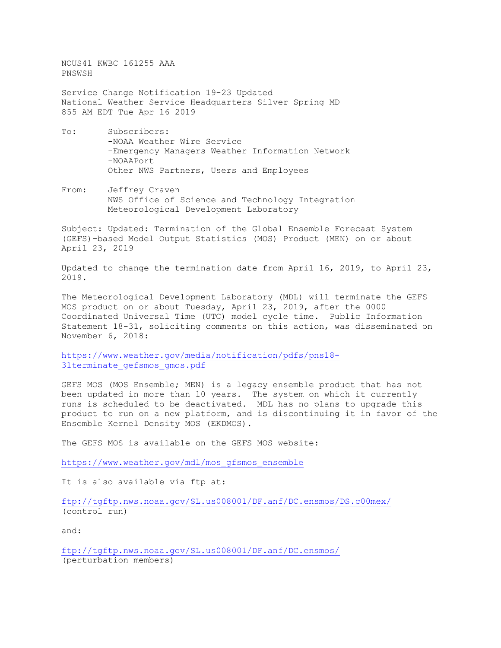NOUS41 KWBC 161255 AAA PNSWSH

Service Change Notification 19-23 Updated National Weather Service Headquarters Silver Spring MD 855 AM EDT Tue Apr 16 2019

- To: Subscribers: -NOAA Weather Wire Service -Emergency Managers Weather Information Network -NOAAPort Other NWS Partners, Users and Employees
- From: Jeffrey Craven NWS Office of Science and Technology Integration Meteorological Development Laboratory

Subject: Updated: Termination of the Global Ensemble Forecast System (GEFS)-based Model Output Statistics (MOS) Product (MEN) on or about April 23, 2019

Updated to change the termination date from April 16, 2019, to April 23, 2019.

The Meteorological Development Laboratory (MDL) will terminate the GEFS MOS product on or about Tuesday, April 23, 2019, after the 0000 Coordinated Universal Time (UTC) model cycle time. Public Information Statement 18-31, soliciting comments on this action, was disseminated on November 6, 2018:

[https://www.weather.gov/media/notification/pdfs/pns18-](https://www.weather.gov/media/notification/pdfs/pns18-31terminate_gefsmos_gmos.pdf) 31terminate gefsmos gmos.pdf

GEFS MOS (MOS Ensemble; MEN) is a legacy ensemble product that has not been updated in more than 10 years. The system on which it currently runs is scheduled to be deactivated. MDL has no plans to upgrade this product to run on a new platform, and is discontinuing it in favor of the Ensemble Kernel Density MOS (EKDMOS).

The GEFS MOS is available on the GEFS MOS website:

[https://www.weather.gov/mdl/mos\\_gfsmos\\_ensemble](https://www.weather.gov/mdl/mos_gfsmos_ensemble)

It is also available via ftp at:

<ftp://tgftp.nws.noaa.gov/SL.us008001/DF.anf/DC.ensmos/DS.c00mex/> (control run)

and:

<ftp://tgftp.nws.noaa.gov/SL.us008001/DF.anf/DC.ensmos/> (perturbation members)